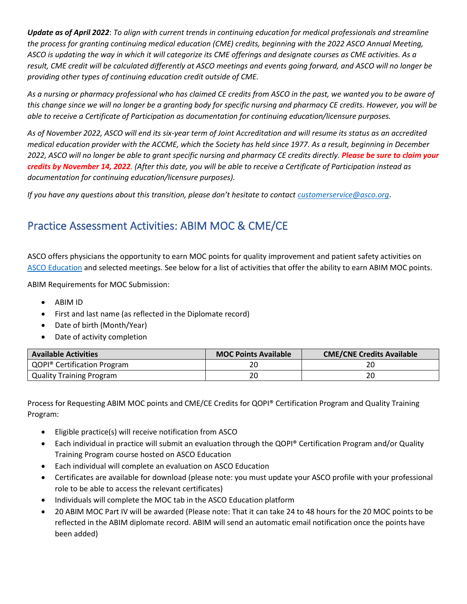*Update as of April 2022*: *To align with current trends in continuing education for medical professionals and streamline the process for granting continuing medical education (CME) credits, beginning with the 2022 ASCO Annual Meeting, ASCO is updating the way in which it will categorize its CME offerings and designate courses as CME activities. As a result, CME credit will be calculated differently at ASCO meetings and events going forward, and ASCO will no longer be providing other types of continuing education credit outside of CME.*

*As a nursing or pharmacy professional who has claimed CE credits from ASCO in the past, we wanted you to be aware of this change since we will no longer be a granting body for specific nursing and pharmacy CE credits. However, you will be able to receive a Certificate of Participation as documentation for continuing education/licensure purposes.* 

*As of November 2022, ASCO will end its six-year term of Joint Accreditation and will resume its status as an accredited medical education provider with the ACCME, which the Society has held since 1977. As a result, beginning in December 2022, ASCO will no longer be able to grant specific nursing and pharmacy CE credits directly. Please be sure to claim your credits by November 14, 2022. (After this date, you will be able to receive a Certificate of Participation instead as documentation for continuing education/licensure purposes).* 

*If you have any questions about this transition, please don't hesitate to contact [customerservice@asco.org](mailto:customerservice@asco.org).* 

## Practice Assessment Activities: ABIM MOC & CME/CE

ASCO offers physicians the opportunity to earn MOC points for quality improvement and patient safety activities on [ASCO Education](https://elearning.asco.org/homepage) and selected meetings. See below for a list of activities that offer the ability to earn ABIM MOC points.

ABIM Requirements for MOC Submission:

- ABIM ID
- First and last name (as reflected in the Diplomate record)
- Date of birth (Month/Year)
- Date of activity completion

| <b>Available Activities</b>             | <b>MOC Points Available</b> | <b>CME/CNE Credits Available</b> |
|-----------------------------------------|-----------------------------|----------------------------------|
| QOPI <sup>®</sup> Certification Program |                             | 20                               |
| <b>Quality Training Program</b>         | 20                          | 20                               |

Process for Requesting ABIM MOC points and CME/CE Credits for QOPI® Certification Program and Quality Training Program:

- Eligible practice(s) will receive notification from ASCO
- Each individual in practice will submit an evaluation through the QOPI® Certification Program and/or Quality Training Program course hosted on ASCO Education
- Each individual will complete an evaluation on ASCO Education
- Certificates are available for download (please note: you must update your ASCO profile with your professional role to be able to access the relevant certificates)
- Individuals will complete the MOC tab in the ASCO Education platform
- 20 ABIM MOC Part IV will be awarded (Please note: That it can take 24 to 48 hours for the 20 MOC points to be reflected in the ABIM diplomate record. ABIM will send an automatic email notification once the points have been added)